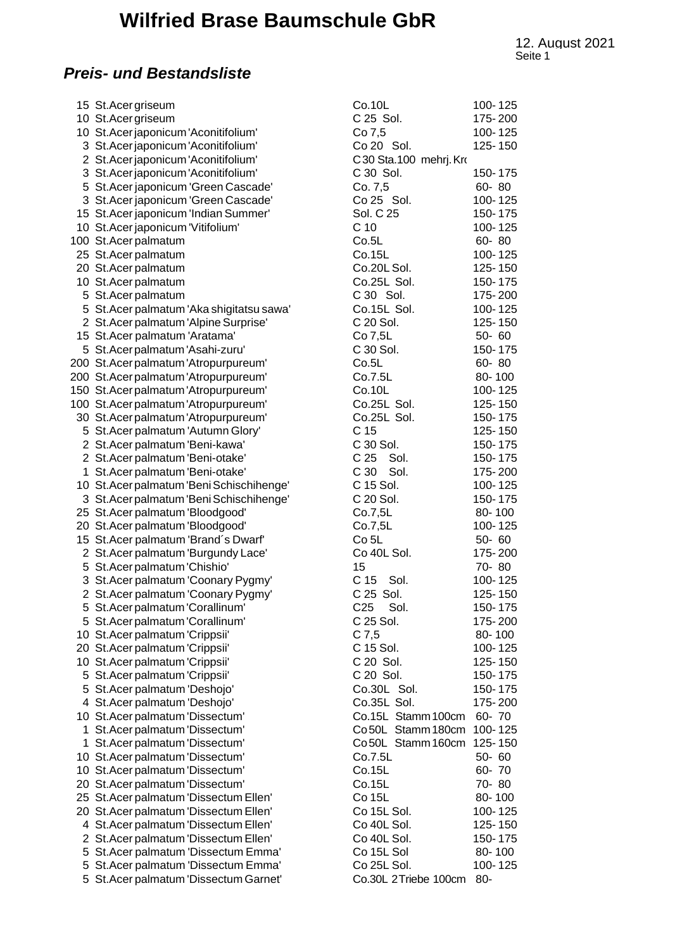# **Wilfried Brase Baumschule GbR**

Seite 1 12. August 2021

### *Preis- und Bestandsliste*

| 15 St. Acer griseum                       | Co.10L                     | 100-125   |
|-------------------------------------------|----------------------------|-----------|
| 10 St. Acer griseum                       | C 25 Sol.                  | 175-200   |
| 10 St. Acer japonicum 'Aconitifolium'     | Co 7,5                     | 100-125   |
| 3 St. Acer japonicum 'Aconitifolium'      | Co 20 Sol.                 | 125-150   |
| 2 St. Acer japonicum 'Aconitifolium'      | C30 Sta.100 mehrj. Kro     |           |
| 3 St. Acer japonicum 'Aconitifolium'      | C 30 Sol.                  | 150-175   |
| 5 St. Acer japonicum 'Green Cascade'      | Co. 7,5                    | $60 - 80$ |
| 3 St. Acer japonicum 'Green Cascade'      | Co 25 Sol.                 | 100-125   |
| 15 St. Acer japonicum 'Indian Summer'     | Sol. C 25                  | 150-175   |
| 10 St. Acer japonicum 'Vitifolium'        | C <sub>10</sub>            | 100-125   |
| 100 St. Acer palmatum                     | Co.5L                      | 60-80     |
|                                           |                            | 100-125   |
| 25 St. Acer palmatum                      | Co.15L<br>Co.20L Sol.      | 125-150   |
| 20 St. Acer palmatum                      |                            |           |
| 10 St. Acer palmatum                      | Co.25L Sol.                | 150-175   |
| 5 St. Acer palmatum                       | C 30 Sol.                  | 175-200   |
| 5 St. Acer palmatum 'Aka shigitatsu sawa' | Co.15L Sol.                | 100-125   |
| 2 St. Acer palmatum 'Alpine Surprise'     | C 20 Sol.                  | 125-150   |
| 15 St. Acer palmatum 'Aratama'            | Co 7,5L                    | $50 - 60$ |
| 5 St. Acer palmatum 'Asahi-zuru'          | C 30 Sol.                  | 150-175   |
| 200 St. Acer palmatum 'Atropurpureum'     | Co.5L                      | $60 - 80$ |
| 200 St. Acer palmatum 'Atropurpureum'     | Co.7.5L                    | 80-100    |
| 150 St. Acer palmatum 'Atropurpureum'     | Co.10L                     | 100-125   |
| 100 St. Acer palmatum 'Atropurpureum'     | Co.25L Sol.                | 125-150   |
| 30 St. Acer palmatum 'Atropurpureum'      | Co.25L Sol.                | 150-175   |
| 5 St. Acer palmatum 'Autumn Glory'        | C <sub>15</sub>            | 125-150   |
| 2 St. Acer palmatum 'Beni-kawa'           | C 30 Sol.                  | 150-175   |
| 2 St. Acer palmatum 'Beni-otake'          | C 25 Sol.                  | 150-175   |
| St. Acer palmatum 'Beni-otake'            | C 30 Sol.                  | 175-200   |
| 10 St. Acer palmatum 'Beni Schischihenge' | C 15 Sol.                  | 100-125   |
| 3 St. Acer palmatum 'Beni Schischihenge'  | C 20 Sol.                  | 150-175   |
| 25 St. Acer palmatum 'Bloodgood'          | Co.7, 5L                   | 80-100    |
| 20 St. Acer palmatum 'Bloodgood'          | Co.7, 5L                   | 100-125   |
| 15 St. Acer palmatum 'Brand's Dwarf'      | Co <sub>5</sub> L          | $50 - 60$ |
| 2 St. Acer palmatum 'Burgundy Lace'       | Co 40L Sol.                | 175-200   |
| 5 St. Acer palmatum 'Chishio'             | 15                         | 70-80     |
| 3 St. Acer palmatum 'Coonary Pygmy'       | C 15<br>Sol.               | 100-125   |
| 2 St. Acer palmatum 'Coonary Pygmy'       | C 25 Sol.                  | 125-150   |
| 5 St. Acer palmatum 'Corallinum'          | Sol.<br>C <sub>25</sub>    | 150-175   |
| 5 St. Acer palmatum 'Corallinum'          | C 25 Sol.                  | 175-200   |
| 10 St. Acer palmatum 'Crippsii'           | $C$ 7,5                    | 80-100    |
| 20 St. Acer palmatum 'Crippsii'           | C 15 Sol.                  | 100-125   |
| 10 St. Acer palmatum 'Crippsii'           | C 20 Sol.                  | 125-150   |
| 5 St. Acer palmatum 'Crippsii'            | C 20 Sol.                  | 150-175   |
| 5 St. Acer palmatum 'Deshojo'             | Co.30L Sol.                | 150-175   |
| 4 St. Acer palmatum 'Deshojo'             | Co.35L Sol.                | 175-200   |
| 10 St. Acer palmatum 'Dissectum'          | Co.15L Stamm 100cm         | 60-70     |
| 1 St. Acer palmatum 'Dissectum'           | Co 50L Stamm 180cm 100-125 |           |
| 1 St. Acer palmatum 'Dissectum'           | Co 50L Stamm 160cm 125-150 |           |
| 10 St. Acer palmatum 'Dissectum'          | Co.7.5L                    | $50 - 60$ |
| 10 St. Acer palmatum 'Dissectum'          | Co.15L                     | 60-70     |
| 20 St. Acer palmatum 'Dissectum'          | Co.15L                     | 70-80     |
|                                           |                            |           |
| 25 St. Acer palmatum 'Dissectum Ellen'    | Co 15L                     | 80-100    |
| 20 St. Acer palmatum 'Dissectum Ellen'    | Co 15L Sol.                | 100-125   |
| 4 St. Acer palmatum 'Dissectum Ellen'     | Co 40L Sol.                | 125-150   |
| 2 St. Acer palmatum 'Dissectum Ellen'     | Co 40L Sol.                | 150-175   |
| 5 St. Acer palmatum 'Dissectum Emma'      | Co 15L Sol                 | 80-100    |
| 5 St. Acer palmatum 'Dissectum Emma'      | Co 25L Sol.                | 100-125   |
| 5 St. Acer palmatum 'Dissectum Garnet'    | Co.30L 2Triebe 100cm 80-   |           |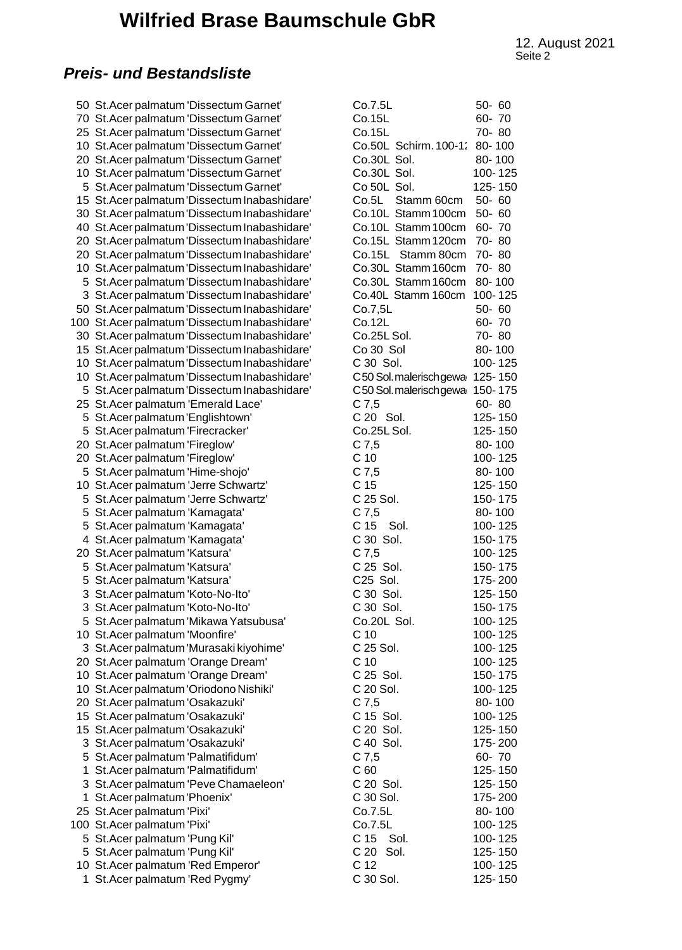## **Wilfried Brase Baumschule GbR**

Seite 2 and 2 and 2 and 2 and 2 and 2 and 2 and 2 and 2 and 2 and 2 and 2 and 2 and 2 and 2 and 2 and 2 and 2 and 2 and 2 and 2 and 2 and 2 and 2 and 2 and 2 and 2 and 2 and 2 and 2 and 2 and 2 and 2 and 2 and 2 and 2 and 12. August 2021<br>Seite 2

#### *Preis- und Bestandsliste*

50 St. Acer palmatum 'Dissectum Garnet' 70 St. Acer palmatum 'Dissectum Garnet' 25 St. Acer palmatum 'Dissectum Garnet' 10 St. Acer palmatum 'Dissectum Garnet' 20 St.Acer palmatum 'Dissectum Garnet' 10 St. Acer palmatum 'Dissectum Garnet' 5 St. Acer palmatum 'Dissectum Garnet' 15 St.Acer palmatum 'Dissectum Inabashidare' 30 St.Acer palmatum 'Dissectum Inabashidare' 40 St. Acer palmatum 'Dissectum Inabashidare' 20 St. Acer palmatum 'Dissectum Inabashidare' 20 St. Acer palmatum 'Dissectum Inabashidare' 10 St. Acer palmatum 'Dissectum Inabashidare' 5 St.Acer palmatum 'Dissectum Inabashidare' 3 St.Acer palmatum 'Dissectum Inabashidare' 50 St. Acer palmatum 'Dissectum Inabashidare' 100 St.Acer palmatum 'Dissectum Inabashidare' 30 St. Acer palmatum 'Dissectum Inabashidare' 15 St. Acer palmatum 'Dissectum Inabashidare' 10 St. Acer palmatum 'Dissectum Inabashidare' 10 St. Acer palmatum 'Dissectum Inabashidare' 5 St.Acer palmatum 'Dissectum Inabashidare' 25 St. Acer palmatum 'Emerald Lace' 5 St.Acer palmatum 'Englishtown' 5 St.Acer palmatum 'Firecracker' 20 St. Acer palmatum 'Fireglow' 20 St. Acer palmatum 'Fireglow' 5 St.Acer palmatum 'Hime-shojo' 10 St.Acer palmatum 'Jerre Schwartz' 5 St. Acer palmatum 'Jerre Schwartz' 5 St. Acer palmatum 'Kamagata' 5 St. Acer palmatum 'Kamagata' 4 St. Acer palmatum 'Kamagata' 20 St. Acer palmatum 'Katsura' 5 St. Acer palmatum 'Katsura' 5 St.Acer palmatum 'Katsura' 3 St.Acer palmatum 'Koto-No-Ito' 3 St. Acer palmatum 'Koto-No-Ito' 5 St. Acer palmatum 'Mikawa Yatsubusa' 10 St. Acer palmatum 'Moonfire' 3 St. Acer palmatum 'Murasaki kiyohime' 20 St.Acer palmatum 'Orange Dream' 10 St.Acer palmatum 'Orange Dream' 10 St. Acer palmatum 'Oriodono Nishiki' 20 St. Acer palmatum 'Osakazuki' 15 St. Acer palmatum 'Osakazuki' 15 St.Acer palmatum 'Osakazuki' 3 St.Acer palmatum 'Osakazuki' 5 St.Acer palmatum 'Palmatifidum' 1 St.Acer palmatum 'Palmatifidum' 3 St. Acer palmatum 'Peve Chamaeleon' 1 St. Acer palmatum 'Phoenix' 25 St.Acer palmatum 'Pixi' 100 St.Acer palmatum 'Pixi' 5 St. Acer palmatum 'Pung Kil' 5 St.Acer palmatum 'Pung Kil' 10 St. Acer palmatum 'Red Emperor' 1 St. Acer palmatum 'Red Pygmy'

| Co.7.5L                                               | $50 - 60$ |
|-------------------------------------------------------|-----------|
| Co.15L                                                | 60-70     |
| Co.15L                                                | 70-80     |
| Co.50L Schirm. 100-1:                                 | 80-100    |
| Co.30L Sol.                                           | 80-100    |
| Co.30L Sol.                                           | 100-125   |
| Co 50L Sol.                                           | 125-150   |
| Co.5L Stamm 60cm                                      | 50-60     |
| Co.10L Stamm 100cm                                    | 50-60     |
| Co.10L Stamm 100cm                                    | 60-70     |
| Co.15L Stamm 120cm                                    | 70-80     |
|                                                       | 70-80     |
| Co.15L Stamm 80 <mark>cm</mark><br>Co.30L Stamm 160cm | 70-80     |
| Co.30L Stamm 160cm                                    | 80-100    |
| Co.40L Stamm 160cm                                    | 100-125   |
|                                                       |           |
| Co.7,5L                                               | 50-60     |
| Co.12L                                                | 60-70     |
| Co.25L Sol.                                           | 70-80     |
| Co 30 Sol                                             | 80-100    |
| C 30 Sol.                                             | 100-125   |
| C50 Sol.malerischgewa                                 | 125-150   |
| C50 Sol. malerisch gewa                               | 150-175   |
| C 7,5<br>C 20 Sol.                                    | 60-80     |
|                                                       | 125-150   |
| Co.25L Sol.                                           | 125-150   |
| $C$ 7,5                                               | 80-100    |
| C <sub>10</sub>                                       | 100-125   |
| C7,5                                                  | 80-100    |
| C <sub>15</sub>                                       | 125-150   |
| C 25 Sol.                                             | 150-175   |
| C 7,5                                                 | 80-100    |
| $C 15$ Sol.                                           | 100-125   |
| C 30 Sol.                                             | 150-175   |
| C 7,5                                                 | 100-125   |
| C 25 Sol.                                             | 150-175   |
| C25 Sol.                                              | 175-200   |
| C 30 Sol.                                             | 125-150   |
| C 30 Sol.                                             | 150-175   |
| Co.20L Sol.                                           | 100-125   |
| C 10                                                  | 100-125   |
| C 25 Sol.                                             | 100-125   |
| C <sub>10</sub>                                       | 100-125   |
| C 25 Sol.                                             | 150-175   |
| C 20 Sol.                                             | 100-125   |
| C 7,5                                                 | 80-100    |
| C 15 Sol.                                             | 100-125   |
| C 20 Sol.                                             | 125-150   |
| C 40 Sol.                                             | 175-200   |
| $C$ 7,5                                               | 60-70     |
| C60                                                   | 125-150   |
| C 20 Sol.                                             | 125-150   |
| C 30 Sol.                                             | 175-200   |
| Co.7.5L                                               | 80-100    |
| Co.7.5L                                               | 100-125   |
| C 15<br>Sol.                                          | 100-125   |
| C 20 Sol.                                             | 125-150   |
| C <sub>12</sub>                                       | 100-125   |
| C 30 Sol.                                             | 125-150   |
|                                                       |           |